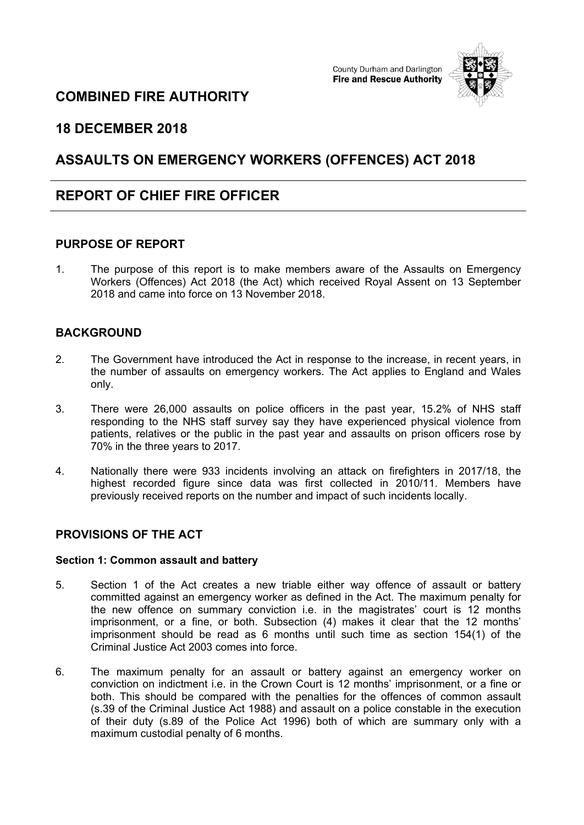# **COMBINED FIRE AUTHORITY**

County Durham and Darlington **Fire and Rescue Authority** 



## **18 DECEMBER 2018**

## **ASSAULTS ON EMERGENCY WORKERS (OFFENCES) ACT 2018**

## **REPORT OF CHIEF FIRE OFFICER**

### **PURPOSE OF REPORT**

1. The purpose of this report is to make members aware of the Assaults on Emergency Workers (Offences) Act 2018 (the Act) which received Royal Assent on 13 September 2018 and came into force on 13 November 2018.

## **BACKGROUND**

- 2. The Government have introduced the Act in response to the increase, in recent years, in the number of assaults on emergency workers. The Act applies to England and Wales only.
- 3. There were 26,000 assaults on police officers in the past year, 15.2% of NHS staff responding to the NHS staff survey say they have experienced physical violence from patients, relatives or the public in the past year and assaults on prison officers rose by 70% in the three years to 2017.
- 4. Nationally there were 933 incidents involving an attack on firefighters in 2017/18, the highest recorded figure since data was first collected in 2010/11. Members have previously received reports on the number and impact of such incidents locally.

## **PROVISIONS OF THE ACT**

#### **Section 1: Common assault and battery**

- 5. Section 1 of the Act creates a new triable either way offence of assault or battery committed against an emergency worker as defined in the Act. The maximum penalty for the new offence on summary conviction i.e. in the magistrates' court is 12 months imprisonment, or a fine, or both. Subsection (4) makes it clear that the 12 months' imprisonment should be read as 6 months until such time as section 154(1) of the Criminal Justice Act 2003 comes into force.
- 6. The maximum penalty for an assault or battery against an emergency worker on conviction on indictment i.e. in the Crown Court is 12 months' imprisonment, or a fine or both. This should be compared with the penalties for the offences of common assault (s.39 of the Criminal Justice Act 1988) and assault on a police constable in the execution of their duty (s.89 of the Police Act 1996) both of which are summary only with a maximum custodial penalty of 6 months.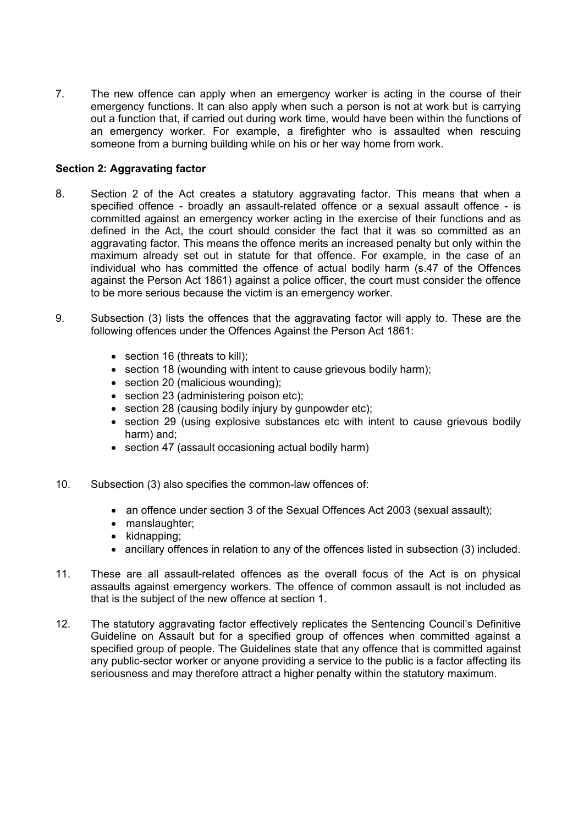7. The new offence can apply when an emergency worker is acting in the course of their emergency functions. It can also apply when such a person is not at work but is carrying out a function that, if carried out during work time, would have been within the functions of an emergency worker. For example, a firefighter who is assaulted when rescuing someone from a burning building while on his or her way home from work.

### **Section 2: Aggravating factor**

- 8. Section 2 of the Act creates a statutory aggravating factor. This means that when a specified offence - broadly an assault-related offence or a sexual assault offence - is committed against an emergency worker acting in the exercise of their functions and as defined in the Act, the court should consider the fact that it was so committed as an aggravating factor. This means the offence merits an increased penalty but only within the maximum already set out in statute for that offence. For example, in the case of an individual who has committed the offence of actual bodily harm (s.47 of the Offences against the Person Act 1861) against a police officer, the court must consider the offence to be more serious because the victim is an emergency worker.
- 9. Subsection (3) lists the offences that the aggravating factor will apply to. These are the following offences under the Offences Against the Person Act 1861:
	- section 16 (threats to kill);
	- section 18 (wounding with intent to cause grievous bodily harm);
	- section 20 (malicious wounding);
	- section 23 (administering poison etc):
	- section 28 (causing bodily injury by gunpowder etc);
	- section 29 (using explosive substances etc with intent to cause grievous bodily harm) and;
	- section 47 (assault occasioning actual bodily harm)
- 10. Subsection (3) also specifies the common-law offences of:
	- an offence under section 3 of the Sexual Offences Act 2003 (sexual assault);
	- manslaughter;
	- $\bullet$  kidnapping;
	- ancillary offences in relation to any of the offences listed in subsection (3) included.
- 11. These are all assault-related offences as the overall focus of the Act is on physical assaults against emergency workers. The offence of common assault is not included as that is the subject of the new offence at section 1.
- 12. The statutory aggravating factor effectively replicates the Sentencing Council's Definitive Guideline on Assault but for a specified group of offences when committed against a specified group of people. The Guidelines state that any offence that is committed against any public-sector worker or anyone providing a service to the public is a factor affecting its seriousness and may therefore attract a higher penalty within the statutory maximum.